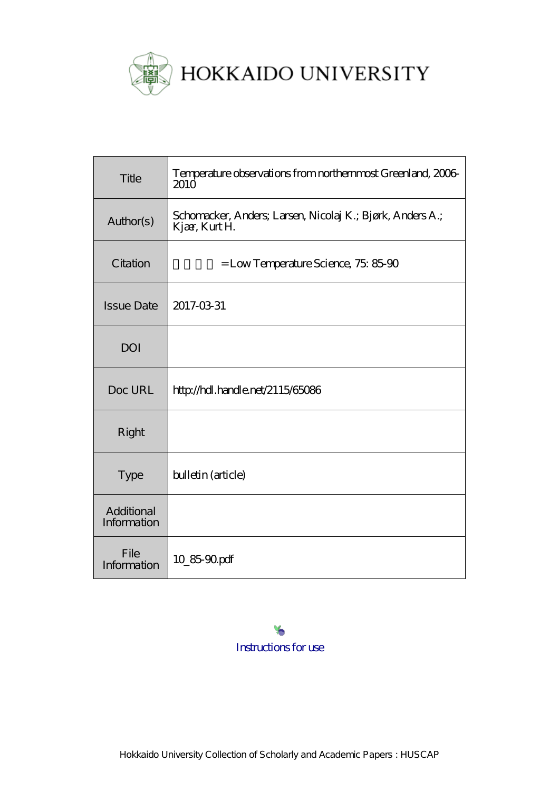

| Title                     | Temperature observations from northernmost Greenland, 2006<br>2010 <sup>o</sup> |
|---------------------------|---------------------------------------------------------------------------------|
| Author(s)                 | Schomacker, Anders, Larsen, Nicolaj K.; Bjørk, Anders A.;<br>Kjær, Kurt H.      |
| Citation                  | $=$ Low Temperature Science, 75, 85-90                                          |
| <b>Issue Date</b>         | 2017-03-31                                                                      |
| <b>DOI</b>                |                                                                                 |
| Doc URL                   | http://hdl.handle.net/2115/65086                                                |
| Right                     |                                                                                 |
| <b>Type</b>               | bulletin (article)                                                              |
| Additional<br>Information |                                                                                 |
| File<br>Information       | 10_85-90pdf                                                                     |

[Instructions for use](http://eprints.lib.hokudai.ac.jp/dspace/about.en.jsp)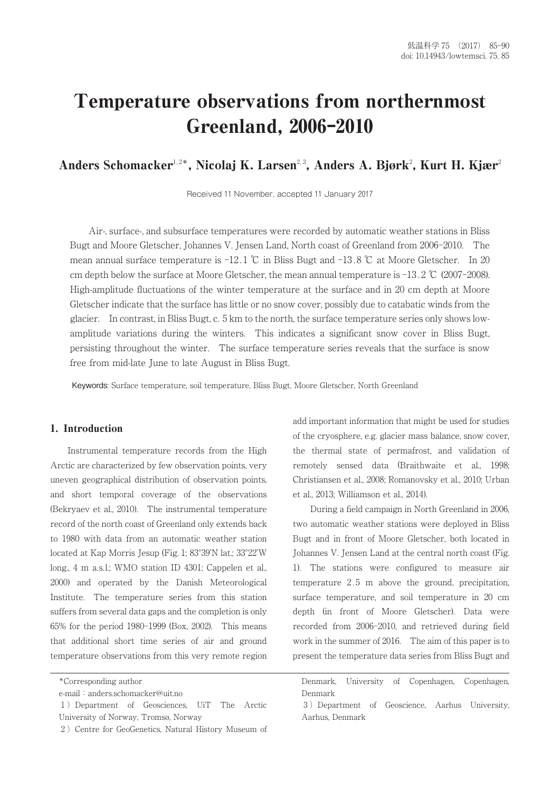# Temperature observations from northernmost Greenland, 2006-2010

# Anders Schomacker<sup>1,2\*</sup>, Nicolaj K. Larsen<sup>2,3</sup>, Anders A. Bjørk<sup>2</sup>, Kurt H. Kjær<sup>2</sup>

Received 11 November, accepted 11 January 2017

Air-, surface-, and subsurface temperatures were recorded by automatic weather stations in Bliss Bugt and Moore Gletscher, Johannes V. Jensen Land, North coast of Greenland from 2006-2010. The mean annual surface temperature is  $-12.1 \text{ }^{\circ}\text{C}$  in Bliss Bugt and  $-13.8 \text{ }^{\circ}\text{C}$  at Moore Gletscher. In 20 cm depth below the surface at Moore Gletscher, the mean annual temperature is  $-13.2$  °C (2007-2008). High-amplitude fluctuations of the winter temperature at the surface and in 20 cm depth at Moore Gletscher indicate that the surface has little or no snow cover, possibly due to catabatic winds from the glacier. In contrast, in Bliss Bugt, c. 5 km to the north, the surface temperature series only shows lowamplitude variations during the winters. This indicates a significant snow cover in Bliss Bugt, persisting throughout the winter. The surface temperature series reveals that the surface is snow free from mid-late June to late August in Bliss Bugt.

Keywords: Surface temperature, soil temperature, Bliss Bugt, Moore Gletscher, North Greenland

# 1. Introduction

Instrumental temperature records from the High Arctic are characterized by few observation points, very uneven geographical distribution of observation points, and short temporal coverage of the observations (Bekryaev et al., 2010). The instrumental temperature record of the north coast of Greenland only extends back to 1980 with data from an automatic weather station located at Kap Morris Jesup (Fig. 1; 83°39'N lat.; 33°22'W long., 4 m a.s.l.; WMO station ID 4301; Cappelen et al., 2000) and operated by the Danish Meteorological Institute. The temperature series from this station suffers from several data gaps and the completion is only 65% for the period 1980-1999 (Box, 2002). This means that additional short time series of air and ground temperature observations from this very remote region

add important information that might be used for studies of the cryosphere, e.g. glacier mass balance, snow cover, the thermal state of permafrost, and validation of remotely sensed data (Braithwaite et al., 1998; Christiansen et al., 2008; Romanovsky et al., 2010; Urban et al., 2013; Williamson et al., 2014).

During a field campaign in North Greenland in 2006, two automatic weather stations were deployed in Bliss Bugt and in front of Moore Gletscher, both located in Johannes V. Jensen Land at the central north coast (Fig. 1). The stations were configured to measure air temperature 2.5 m above the ground, precipitation, surface temperature, and soil temperature in 20 cm depth (in front of Moore Gletscher). Data were recorded from 2006-2010, and retrieved during field work in the summer of 2016. The aim of this paper is to present the temperature data series from Bliss Bugt and

<sup>\*</sup>Corresponding author

e-mail: anders.schomacker@uit.no

<sup>⚑)</sup> Department of Geosciences, UiT The Arctic University of Norway, Tromsø, Norway

<sup>2)</sup> Centre for GeoGenetics, Natural History Museum of

Denmark, University of Copenhagen, Copenhagen, Denmark

<sup>⚓)</sup> Department of Geoscience, Aarhus University, Aarhus, Denmark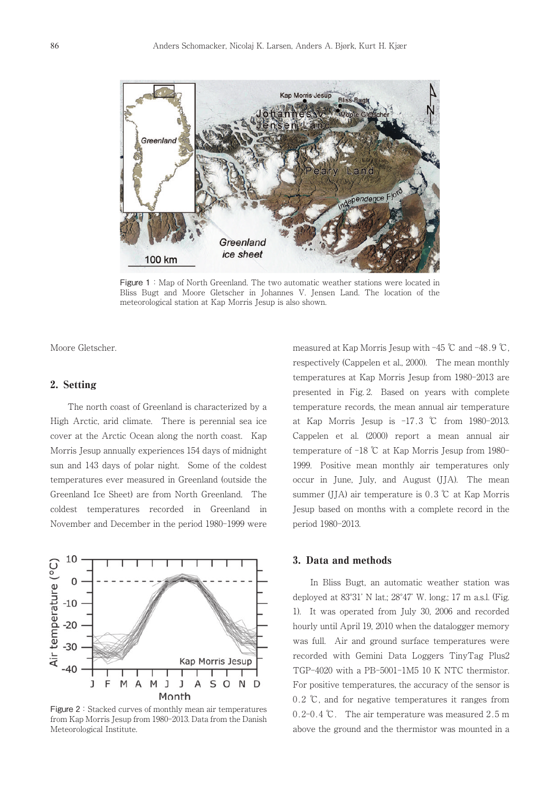

Figure 1: Map of North Greenland. The two automatic weather stations were located in Bliss Bugt and Moore Gletscher in Johannes V. Jensen Land. The location of the meteorological station at Kap Morris Jesup is also shown.

Moore Gletscher.

## 2. Setting

The north coast of Greenland is characterized by a High Arctic, arid climate. There is perennial sea ice cover at the Arctic Ocean along the north coast. Kap Morris Jesup annually experiences 154 days of midnight sun and 143 days of polar night. Some of the coldest temperatures ever measured in Greenland (outside the Greenland Ice Sheet) are from North Greenland. The coldest temperatures recorded in Greenland in November and December in the period 1980-1999 were

10 Air temperature (°C)  $\mathbf 0$  $-10$  $-20$  $-30$ Kap Morris Jesup  $-40$ J F M M J SOND A J A Month

Figure 2: Stacked curves of monthly mean air temperatures from Kap Morris Jesup from 1980-2013. Data from the Danish Meteorological Institute.

measured at Kap Morris Jesup with  $-45$  °C and  $-48.9$  °C, respectively (Cappelen et al., 2000). The mean monthly temperatures at Kap Morris Jesup from 1980-2013 are presented in Fig. 2. Based on years with complete temperature records, the mean annual air temperature at Kap Morris Jesup is -17.3 ℃ from 1980-2013. Cappelen et al. (2000) report a mean annual air temperature of -18 ℃ at Kap Morris Jesup from 1980- 1999. Positive mean monthly air temperatures only occur in June, July, and August (JJA). The mean summer (JJA) air temperature is 0.3 ℃ at Kap Morris Jesup based on months with a complete record in the period 1980-2013.

#### 3. Data and methods

In Bliss Bugt, an automatic weather station was deployed at 83°31' N lat.; 28°47' W. long.; 17 m a.s.l. (Fig. 1). It was operated from July 30, 2006 and recorded hourly until April 19, 2010 when the datalogger memory was full. Air and ground surface temperatures were recorded with Gemini Data Loggers TinyTag Plus2 TGP-4020 with a PB-5001-1M5 10 K NTC thermistor. For positive temperatures, the accuracy of the sensor is 0.2 ℃, and for negative temperatures it ranges from 0.2-0.4 ℃. The air temperature was measured 2.5 m above the ground and the thermistor was mounted in a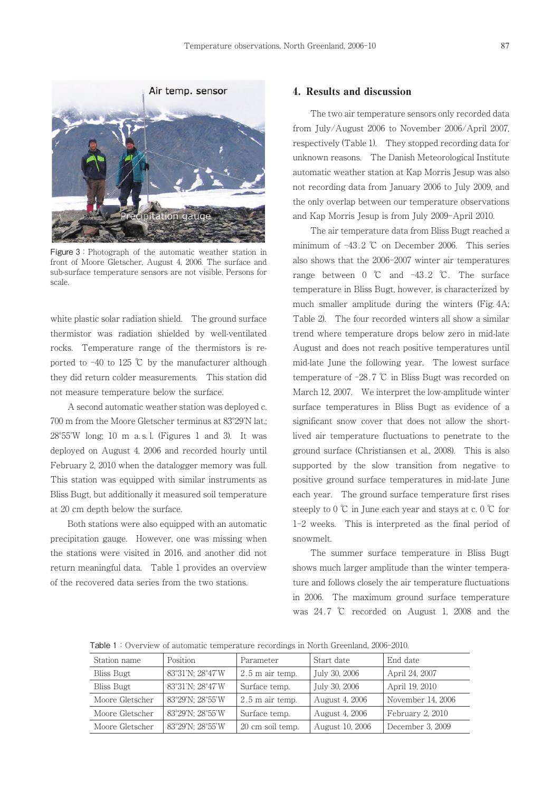

Figure 3: Photograph of the automatic weather station in front of Moore Gletscher, August 4, 2006. The surface and sub-surface temperature sensors are not visible. Persons for scale.

white plastic solar radiation shield. The ground surface thermistor was radiation shielded by well-ventilated rocks. Temperature range of the thermistors is reported to  $-40$  to 125 °C by the manufacturer although they did return colder measurements. This station did not measure temperature below the surface.

A second automatic weather station was deployed c. 700 m from the Moore Gletscher terminus at 83°29'N lat.; 28°55'W long; 10 m a. s. l. (Figures 1 and 3). It was deployed on August 4, 2006 and recorded hourly until February 2, 2010 when the datalogger memory was full. This station was equipped with similar instruments as Bliss Bugt, but additionally it measured soil temperature at 20 cm depth below the surface.

Both stations were also equipped with an automatic precipitation gauge. However, one was missing when the stations were visited in 2016, and another did not return meaningful data. Table 1 provides an overview of the recovered data series from the two stations.

### 4. Results and discussion

The two air temperature sensors only recorded data from July/August 2006 to November 2006/April 2007, respectively (Table 1). They stopped recording data for unknown reasons. The Danish Meteorological Institute automatic weather station at Kap Morris Jesup was also not recording data from January 2006 to July 2009, and the only overlap between our temperature observations and Kap Morris Jesup is from July 2009-April 2010.

The air temperature data from Bliss Bugt reached a minimum of  $-43.2$  °C on December 2006. This series also shows that the 2006-2007 winter air temperatures range between 0 ℃ and -43.2 ℃. The surface temperature in Bliss Bugt, however, is characterized by much smaller amplitude during the winters (Fig. 4A; Table 2). The four recorded winters all show a similar trend where temperature drops below zero in mid-late August and does not reach positive temperatures until mid-late June the following year. The lowest surface temperature of -28.7 ℃ in Bliss Bugt was recorded on March 12, 2007. We interpret the low-amplitude winter surface temperatures in Bliss Bugt as evidence of a significant snow cover that does not allow the shortlived air temperature fluctuations to penetrate to the ground surface (Christiansen et al., 2008). This is also supported by the slow transition from negative to positive ground surface temperatures in mid-late June each year. The ground surface temperature first rises steeply to  $0^\circ\mathbb{C}$  in June each year and stays at c.  $0^\circ\mathbb{C}$  for 1-2 weeks. This is interpreted as the final period of snowmelt.

The summer surface temperature in Bliss Bugt shows much larger amplitude than the winter temperature and follows closely the air temperature fluctuations in 2006. The maximum ground surface temperature was 24.7 ℃ recorded on August 1, 2008 and the

Table 1:Overview of automatic temperature recordings in North Greenland, 2006-2010.

| Station name    | Position         | Parameter         | Start date      | End date          |
|-----------------|------------------|-------------------|-----------------|-------------------|
| Bliss Bugt      | 83°31'N; 28°47'W | $2.5$ m air temp. | July 30, 2006   | April 24, 2007    |
| Bliss Bugt      | 83°31'N; 28°47'W | Surface temp.     | July 30, 2006   | April 19, 2010    |
| Moore Gletscher | 83°29'N; 28°55'W | $2.5$ m air temp. | August 4, 2006  | November 14, 2006 |
| Moore Gletscher | 83°29'N; 28°55'W | Surface temp.     | August 4, 2006  | February 2, 2010  |
| Moore Gletscher | 83°29'N; 28°55'W | 20 cm soil temp.  | August 10, 2006 | December 3, 2009  |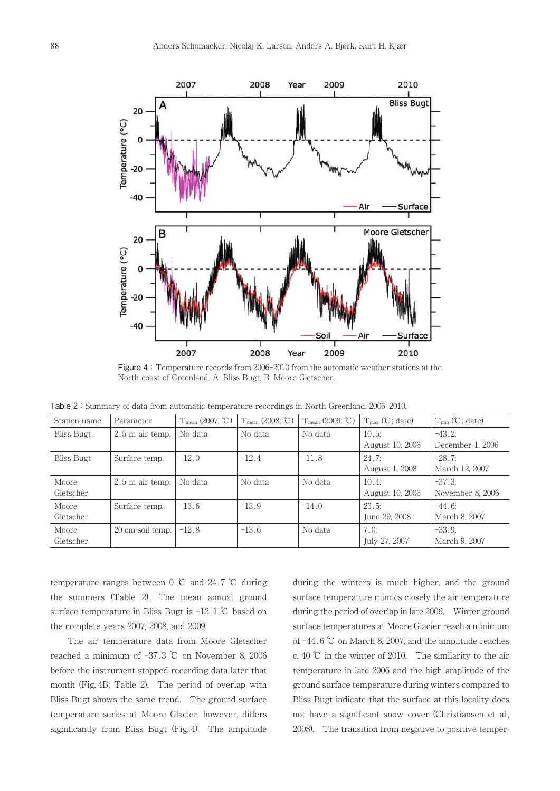

Figure 4: Temperature records from 2006-2010 from the automatic weather stations at the North coast of Greenland. A. Bliss Bugt. B. Moore Gletscher.

Table 2: Summary of data from automatic temperature recordings in North Greenland, 2006-2010.

| Station name      | Parameter         | $T_{mean}$ (2007; $\mathbb{C}$ ) | $T_{mean}$ (2008; $\mathbb{C}$ ) | $T_{mean}$ (2009; $°C$ ) | $T_{\text{max}}$ ( $C$ ; date) | $T_{min}$ (°C; date) |
|-------------------|-------------------|----------------------------------|----------------------------------|--------------------------|--------------------------------|----------------------|
| Bliss Bugt        | $2.5$ m air temp. | No data                          | No data                          | No data                  | $10.5$ :                       | $-43.2:$             |
|                   |                   |                                  |                                  |                          | August 10, 2006                | December 1, 2006     |
| <b>Bliss Bugt</b> | Surface temp.     | $-12.0$                          | $-12.4$                          | $-11.8$                  | 24.7:                          | $-28.7$ ;            |
|                   |                   |                                  |                                  |                          | August 1, 2008                 | March 12, 2007       |
| Moore             | $2.5$ m air temp. | No data                          | No data                          | No data                  | $10.4$ :                       | $-37.3$              |
| Gletscher         |                   |                                  |                                  |                          | August 10, 2006                | November 8, 2006     |
| Moore             | Surface temp.     | $-13.6$                          | $-13.9$                          | $-14.0$                  | 23.5:                          | $-44.6$              |
| Gletscher         |                   |                                  |                                  |                          | June 29, 2008                  | March 8, 2007        |
| Moore             | 20 cm soil temp.  | $-12.8$                          | $-13.6$                          | No data                  | 7.0:                           | $-33.9$ :            |
| Gletscher         |                   |                                  |                                  |                          | July 27, 2007                  | March 9, 2007        |

temperature ranges between 0 ℃ and 24.7 ℃ during the summers (Table 2). The mean annual ground surface temperature in Bliss Bugt is -12.1 ℃ based on the complete years 2007, 2008, and 2009.

The air temperature data from Moore Gletscher reached a minimum of  $-37.3$  °C on November 8, 2006 before the instrument stopped recording data later that month (Fig. 4B; Table 2). The period of overlap with Bliss Bugt shows the same trend. The ground surface temperature series at Moore Glacier, however, differs significantly from Bliss Bugt (Fig. 4). The amplitude

during the winters is much higher, and the ground surface temperature mimics closely the air temperature during the period of overlap in late 2006. Winter ground surface temperatures at Moore Glacier reach a minimum of -44.6 ℃ on March 8, 2007, and the amplitude reaches c. 40 ℃ in the winter of 2010. The similarity to the air temperature in late 2006 and the high amplitude of the ground surface temperature during winters compared to Bliss Bugt indicate that the surface at this locality does not have a significant snow cover (Christiansen et al., 2008). The transition from negative to positive temper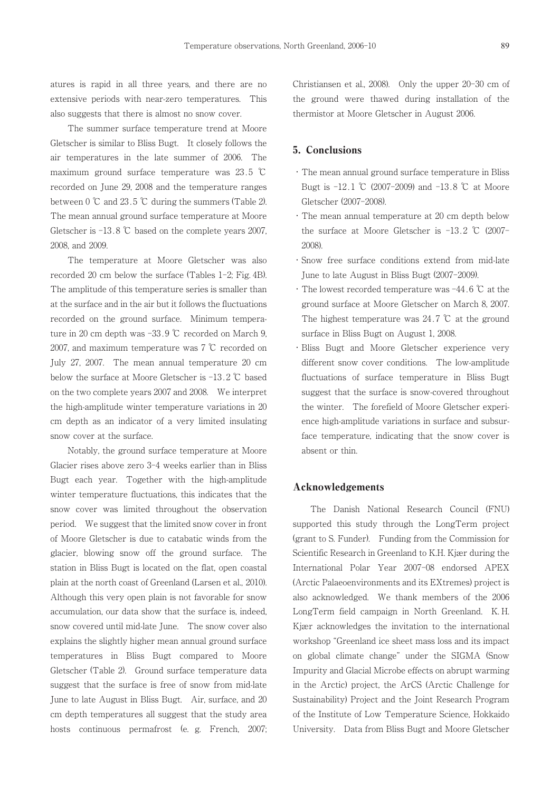atures is rapid in all three years, and there are no extensive periods with near-zero temperatures. This also suggests that there is almost no snow cover.

The summer surface temperature trend at Moore Gletscher is similar to Bliss Bugt. It closely follows the air temperatures in the late summer of 2006. The maximum ground surface temperature was 23.5 ℃ recorded on June 29, 2008 and the temperature ranges between  $0 \text{ }^{\circ}\text{C}$  and  $23.5 \text{ }^{\circ}\text{C}$  during the summers (Table 2). The mean annual ground surface temperature at Moore Gletscher is -13.8 ℃ based on the complete years 2007, 2008, and 2009.

The temperature at Moore Gletscher was also recorded 20 cm below the surface (Tables 1-2; Fig. 4B). The amplitude of this temperature series is smaller than at the surface and in the air but it follows the fluctuations recorded on the ground surface. Minimum temperature in 20 cm depth was -33.9 ℃ recorded on March 9, 2007, and maximum temperature was 7 ℃ recorded on July 27, 2007. The mean annual temperature 20 cm below the surface at Moore Gletscher is -13.2 ℃ based on the two complete years 2007 and 2008. We interpret the high-amplitude winter temperature variations in 20 cm depth as an indicator of a very limited insulating snow cover at the surface.

Notably, the ground surface temperature at Moore Glacier rises above zero 3-4 weeks earlier than in Bliss Bugt each year. Together with the high-amplitude winter temperature fluctuations, this indicates that the snow cover was limited throughout the observation period. We suggest that the limited snow cover in front of Moore Gletscher is due to catabatic winds from the glacier, blowing snow off the ground surface. The station in Bliss Bugt is located on the flat, open coastal plain at the north coast of Greenland (Larsen et al., 2010). Although this very open plain is not favorable for snow accumulation, our data show that the surface is, indeed, snow covered until mid-late June. The snow cover also explains the slightly higher mean annual ground surface temperatures in Bliss Bugt compared to Moore Gletscher (Table 2). Ground surface temperature data suggest that the surface is free of snow from mid-late June to late August in Bliss Bugt. Air, surface, and 20 cm depth temperatures all suggest that the study area hosts continuous permafrost (e. g. French, 2007; Christiansen et al., 2008). Only the upper 20-30 cm of the ground were thawed during installation of the thermistor at Moore Gletscher in August 2006.

# 5. Conclusions

- ・The mean annual ground surface temperature in Bliss Bugt is -12.1 ℃ (2007-2009) and -13.8 ℃ at Moore Gletscher (2007-2008).
- ・The mean annual temperature at 20 cm depth below the surface at Moore Gletscher is -13.2 ℃ (2007- 2008).
- ・Snow free surface conditions extend from mid-late June to late August in Bliss Bugt (2007-2009).
- ・The lowest recorded temperature was -44.6 ℃ at the ground surface at Moore Gletscher on March 8, 2007. The highest temperature was  $24.7$  °C at the ground surface in Bliss Bugt on August 1, 2008.
- ・Bliss Bugt and Moore Gletscher experience very different snow cover conditions. The low-amplitude fluctuations of surface temperature in Bliss Bugt suggest that the surface is snow-covered throughout the winter. The forefield of Moore Gletscher experience high-amplitude variations in surface and subsurface temperature, indicating that the snow cover is absent or thin.

#### Acknowledgements

The Danish National Research Council (FNU) supported this study through the LongTerm project (grant to S. Funder). Funding from the Commission for Scientific Research in Greenland to K.H. Kjær during the International Polar Year 2007-08 endorsed APEX (Arctic Palaeoenvironments and its EXtremes) project is also acknowledged. We thank members of the 2006 LongTerm field campaign in North Greenland. K. H. Kjær acknowledges the invitation to the international workshop "Greenland ice sheet mass loss and its impact on global climate change" under the SIGMA (Snow Impurity and Glacial Microbe effects on abrupt warming in the Arctic) project, the ArCS (Arctic Challenge for Sustainability) Project and the Joint Research Program of the Institute of Low Temperature Science, Hokkaido University. Data from Bliss Bugt and Moore Gletscher